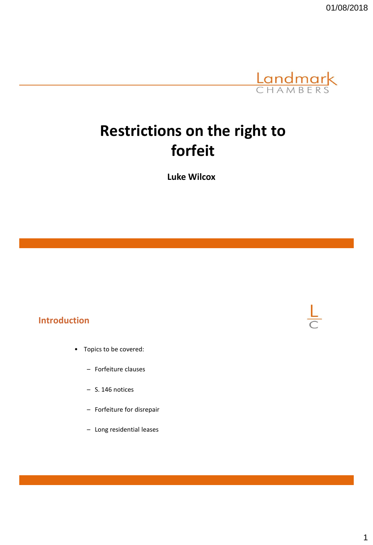

# **Restrictions on the right to forfeit**

**Luke Wilcox**

#### **Introduction**

- Topics to be covered:
	- Forfeiture clauses
	- S. 146 notices
	- Forfeiture for disrepair
	- Long residential leases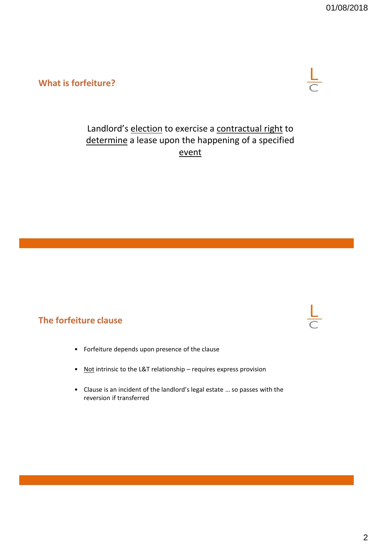#### **What is forfeiture?**



# Landlord's election to exercise a contractual right to determine a lease upon the happening of a specified event

### **The forfeiture clause**

- Forfeiture depends upon presence of the clause
- Not intrinsic to the L&T relationship requires express provision
- Clause is an incident of the landlord's legal estate … so passes with the reversion if transferred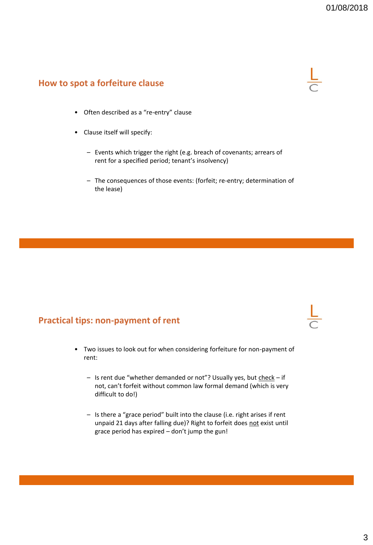#### **How to spot a forfeiture clause**



- Often described as a "re-entry" clause
- Clause itself will specify:
	- Events which trigger the right (e.g. breach of covenants; arrears of rent for a specified period; tenant's insolvency)
	- The consequences of those events: (forfeit; re-entry; determination of the lease)

#### **Practical tips: non-payment of rent**

- Two issues to look out for when considering forfeiture for non-payment of rent:
	- Is rent due "whether demanded or not"? Usually yes, but check if not, can't forfeit without common law formal demand (which is very difficult to do!)
	- Is there a "grace period" built into the clause (i.e. right arises if rent unpaid 21 days after falling due)? Right to forfeit does not exist until grace period has expired – don't jump the gun!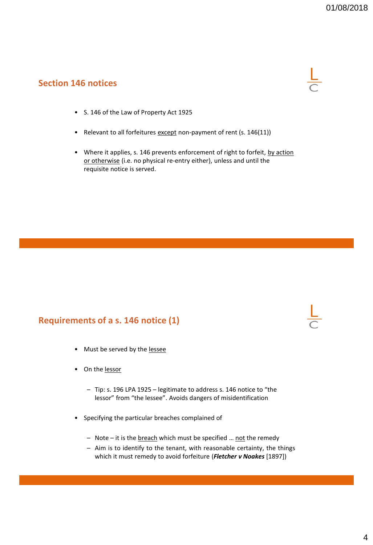#### **Section 146 notices**



- S. 146 of the Law of Property Act 1925
- Relevant to all forfeitures except non-payment of rent (s. 146(11))
- Where it applies, s. 146 prevents enforcement of right to forfeit, by action or otherwise (i.e. no physical re-entry either), unless and until the requisite notice is served.

#### **Requirements of a s. 146 notice (1)**

- Must be served by the lessee
- On the lessor
	- Tip: s. 196 LPA 1925 legitimate to address s. 146 notice to "the lessor" from "the lessee". Avoids dangers of misidentification
- Specifying the particular breaches complained of
	- Note it is the breach which must be specified ... not the remedy
	- Aim is to identify to the tenant, with reasonable certainty, the things which it must remedy to avoid forfeiture (*Fletcher v Noakes* [1897])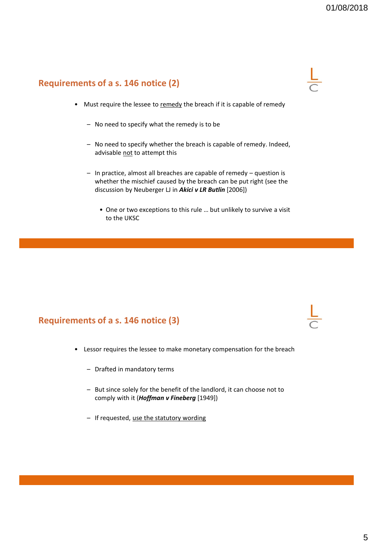#### **Requirements of a s. 146 notice (2)**

- Must require the lessee to remedy the breach if it is capable of remedy
	- No need to specify what the remedy is to be
	- No need to specify whether the breach is capable of remedy. Indeed, advisable not to attempt this
	- In practice, almost all breaches are capable of remedy question is whether the mischief caused by the breach can be put right (see the discussion by Neuberger LJ in *Akici v LR Butlin* [2006])
		- One or two exceptions to this rule … but unlikely to survive a visit to the UKSC

#### **Requirements of a s. 146 notice (3)**

- Lessor requires the lessee to make monetary compensation for the breach
	- Drafted in mandatory terms
	- But since solely for the benefit of the landlord, it can choose not to comply with it (*Hoffman v Fineberg* [1949])
	- If requested, use the statutory wording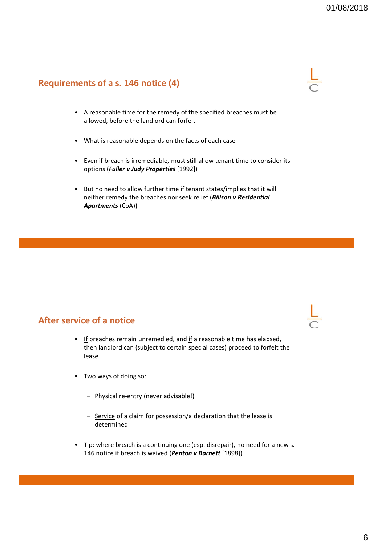#### **Requirements of a s. 146 notice (4)**

- A reasonable time for the remedy of the specified breaches must be allowed, before the landlord can forfeit
- What is reasonable depends on the facts of each case
- Even if breach is irremediable, must still allow tenant time to consider its options (*Fuller v Judy Properties* [1992])
- But no need to allow further time if tenant states/implies that it will neither remedy the breaches nor seek relief (*Billson v Residential Apartments* (CoA))

#### **After service of a notice**

- $\bullet$  If breaches remain unremedied, and if a reasonable time has elapsed, then landlord can (subject to certain special cases) proceed to forfeit the lease
- Two ways of doing so:
	- Physical re-entry (never advisable!)
	- Service of a claim for possession/a declaration that the lease is determined
- Tip: where breach is a continuing one (esp. disrepair), no need for a new s. 146 notice if breach is waived (*Penton v Barnett* [1898])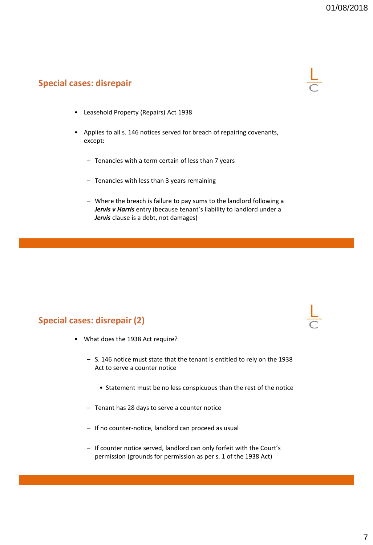#### **Special cases: disrepair**



- Leasehold Property (Repairs) Act 1938
- Applies to all s. 146 notices served for breach of repairing covenants, except:
	- Tenancies with a term certain of less than 7 years
	- Tenancies with less than 3 years remaining
	- Where the breach is failure to pay sums to the landlord following a *Jervis v Harris* entry (because tenant's liability to landlord under a *Jervis* clause is a debt, not damages)

#### **Special cases: disrepair (2)**

- What does the 1938 Act require?
	- S. 146 notice must state that the tenant is entitled to rely on the 1938 Act to serve a counter notice
		- Statement must be no less conspicuous than the rest of the notice
	- Tenant has 28 days to serve a counter notice
	- If no counter-notice, landlord can proceed as usual
	- If counter notice served, landlord can only forfeit with the Court's permission (grounds for permission as per s. 1 of the 1938 Act)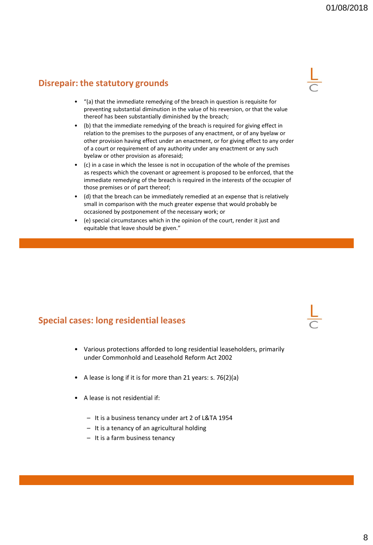#### **Disrepair: the statutory grounds**

- "(a) that the immediate remedying of the breach in question is requisite for preventing substantial diminution in the value of his reversion, or that the value thereof has been substantially diminished by the breach;
- (b) that the immediate remedying of the breach is required for giving effect in relation to the premises to the purposes of any enactment, or of any byelaw or other provision having effect under an enactment, or for giving effect to any order of a court or requirement of any authority under any enactment or any such byelaw or other provision as aforesaid;
- (c) in a case in which the lessee is not in occupation of the whole of the premises as respects which the covenant or agreement is proposed to be enforced, that the immediate remedying of the breach is required in the interests of the occupier of those premises or of part thereof;
- (d) that the breach can be immediately remedied at an expense that is relatively small in comparison with the much greater expense that would probably be occasioned by postponement of the necessary work; or
- (e) special circumstances which in the opinion of the court, render it just and equitable that leave should be given."

#### **Special cases: long residential leases**

- Various protections afforded to long residential leaseholders, primarily under Commonhold and Leasehold Reform Act 2002
- A lease is long if it is for more than 21 years: s. 76(2)(a)
- A lease is not residential if:
	- It is a business tenancy under art 2 of L&TA 1954
	- It is a tenancy of an agricultural holding
	- It is a farm business tenancy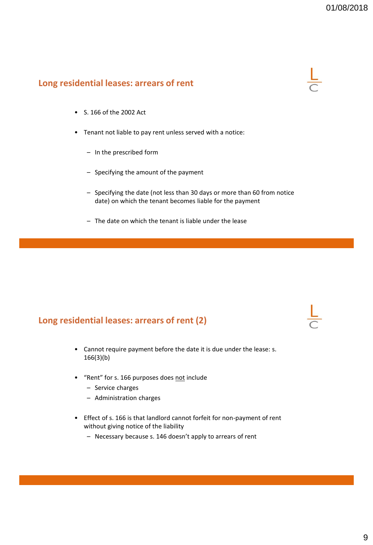#### **Long residential leases: arrears of rent**



- S. 166 of the 2002 Act
- Tenant not liable to pay rent unless served with a notice:
	- In the prescribed form
	- Specifying the amount of the payment
	- Specifying the date (not less than 30 days or more than 60 from notice date) on which the tenant becomes liable for the payment
	- The date on which the tenant is liable under the lease

#### **Long residential leases: arrears of rent (2)**

- Cannot require payment before the date it is due under the lease: s. 166(3)(b)
- "Rent" for s. 166 purposes does not include
	- Service charges
	- Administration charges
- Effect of s. 166 is that landlord cannot forfeit for non-payment of rent without giving notice of the liability
	- Necessary because s. 146 doesn't apply to arrears of rent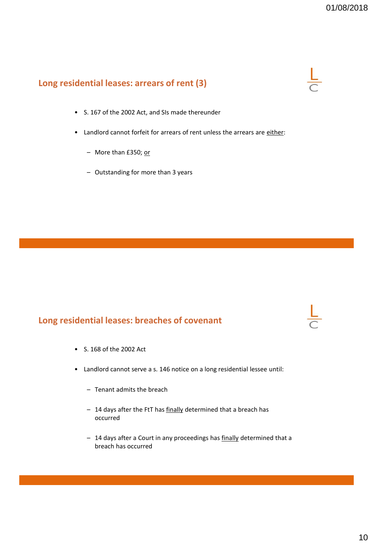#### **Long residential leases: arrears of rent (3)**

- S. 167 of the 2002 Act, and SIs made thereunder
- Landlord cannot forfeit for arrears of rent unless the arrears are either:
	- More than £350; or
	- Outstanding for more than 3 years

# **Long residential leases: breaches of covenant**

- S. 168 of the 2002 Act
- Landlord cannot serve a s. 146 notice on a long residential lessee until:
	- Tenant admits the breach
	- 14 days after the FtT has finally determined that a breach has occurred
	- 14 days after a Court in any proceedings has **finally** determined that a breach has occurred